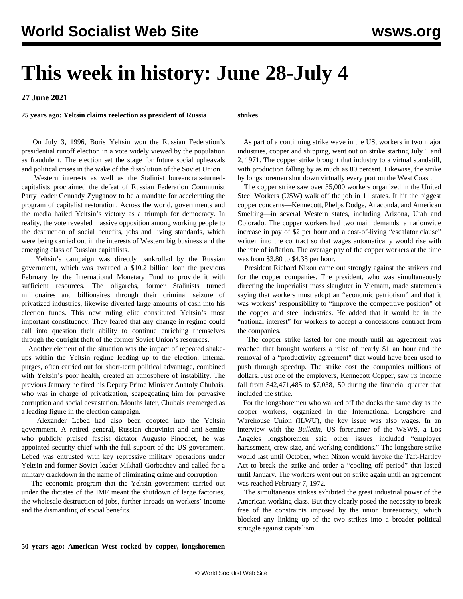## **This week in history: June 28-July 4**

**27 June 2021**

**25 years ago: Yeltsin claims reelection as president of Russia**

**strikes**

 On July 3, 1996, Boris Yeltsin won the Russian Federation's presidential runoff election in a vote widely viewed by the population as fraudulent. The election set the stage for future social upheavals and political crises in the wake of the dissolution of the Soviet Union.

 Western interests as well as the Stalinist bureaucrats-turnedcapitalists proclaimed the defeat of Russian Federation Communist Party leader Gennady Zyuganov to be a mandate for accelerating the program of capitalist restoration. Across the world, governments and the media hailed Yeltsin's victory as a triumph for democracy. In reality, the vote revealed massive opposition among working people to the destruction of social benefits, jobs and living standards, which were being carried out in the interests of Western big business and the emerging class of Russian capitalists.

 Yeltsin's campaign was directly bankrolled by the Russian government, which was awarded a \$10.2 billion loan the previous February by the International Monetary Fund to provide it with sufficient resources. The oligarchs, former Stalinists turned millionaires and billionaires through their criminal seizure of privatized industries, likewise diverted large amounts of cash into his election funds. This new ruling elite constituted Yeltsin's most important constituency. They feared that any change in regime could call into question their ability to continue enriching themselves through the outright theft of the former Soviet Union's resources.

 Another element of the situation was the impact of repeated shakeups within the Yeltsin regime leading up to the election. Internal purges, often carried out for short-term political advantage, combined with Yeltsin's poor health, created an atmosphere of instability. The previous January he fired his Deputy Prime Minister Anatoly Chubais, who was in charge of privatization, scapegoating him for pervasive corruption and social devastation. Months later, Chubais reemerged as a leading figure in the election campaign.

 Alexander Lebed had also been coopted into the Yeltsin government. A retired general, Russian chauvinist and anti-Semite who publicly praised fascist dictator Augusto Pinochet, he was appointed security chief with the full support of the US government. Lebed was entrusted with key repressive military operations under Yeltsin and former Soviet leader Mikhail Gorbachev and called for a military crackdown in the name of eliminating crime and corruption.

 The economic program that the Yeltsin government carried out under the dictates of the IMF meant the shutdown of large factories, the wholesale destruction of jobs, further inroads on workers' income and the dismantling of social benefits.

 As part of a continuing strike wave in the US, workers in two major industries, copper and shipping, went out on strike starting July 1 and 2, 1971. The copper strike brought that industry to a virtual standstill, with production falling by as much as 80 percent. Likewise, the strike by longshoremen shut down virtually every port on the West Coast.

 The copper strike saw over 35,000 workers organized in the United Steel Workers (USW) walk off the job in 11 states. It hit the biggest copper concerns—Kennecott, Phelps Dodge, Anaconda, and American Smelting—in several Western states, including Arizona, Utah and Colorado. The copper workers had two main demands: a nationwide increase in pay of \$2 per hour and a cost-of-living "escalator clause" written into the contract so that wages automatically would rise with the rate of inflation. The average pay of the copper workers at the time was from \$3.80 to \$4.38 per hour.

 President Richard Nixon came out strongly against the strikers and for the copper companies. The president, who was simultaneously directing the imperialist mass slaughter in Vietnam, made statements saying that workers must adopt an "economic patriotism" and that it was workers' responsibility to "improve the competitive position" of the copper and steel industries. He added that it would be in the "national interest" for workers to accept a concessions contract from the companies.

 The copper strike lasted for one month until an agreement was reached that brought workers a raise of nearly \$1 an hour and the removal of a "productivity agreement" that would have been used to push through speedup. The strike cost the companies millions of dollars. Just one of the employers, Kennecott Copper, saw its income fall from \$42,471,485 to \$7,038,150 during the financial quarter that included the strike.

 For the longshoremen who walked off the docks the same day as the copper workers, organized in the International Longshore and Warehouse Union (ILWU), the key issue was also wages. In an interview with the *Bulletin*, US forerunner of the WSWS, a Los Angeles longshoremen said other issues included "employer harassment, crew size, and working conditions." The longshore strike would last until October, when Nixon would invoke the Taft-Hartley Act to break the strike and order a "cooling off period" that lasted until January. The workers went out on strike again until an agreement was reached February 7, 1972.

 The simultaneous strikes exhibited the great industrial power of the American working class. But they clearly posed the necessity to break free of the constraints imposed by the union bureaucracy, which blocked any linking up of the two strikes into a broader political struggle against capitalism.

**50 years ago: American West rocked by copper, longshoremen**